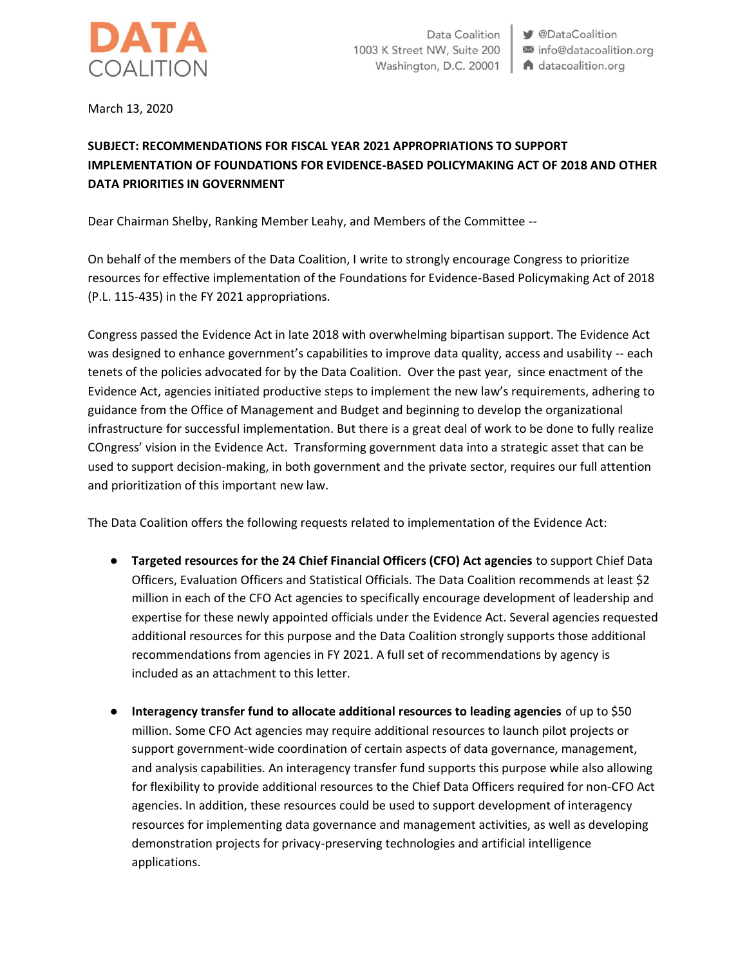

March 13, 2020

## **SUBJECT: RECOMMENDATIONS FOR FISCAL YEAR 2021 APPROPRIATIONS TO SUPPORT IMPLEMENTATION OF FOUNDATIONS FOR EVIDENCE-BASED POLICYMAKING ACT OF 2018 AND OTHER DATA PRIORITIES IN GOVERNMENT**

Dear Chairman Shelby, Ranking Member Leahy, and Members of the Committee --

On behalf of the members of the Data Coalition, I write to strongly encourage Congress to prioritize resources for effective implementation of the Foundations for Evidence-Based Policymaking Act of 2018 (P.L. 115-435) in the FY 2021 appropriations.

Congress passed the Evidence Act in late 2018 with overwhelming bipartisan support. The Evidence Act was designed to enhance government's capabilities to improve data quality, access and usability -- each tenets of the policies advocated for by the Data Coalition. Over the past year, since enactment of the Evidence Act, agencies initiated productive steps to implement the new law's requirements, adhering to guidance from the Office of Management and Budget and beginning to develop the organizational infrastructure for successful implementation. But there is a great deal of work to be done to fully realize COngress' vision in the Evidence Act. Transforming government data into a strategic asset that can be used to support decision-making, in both government and the private sector, requires our full attention and prioritization of this important new law.

The Data Coalition offers the following requests related to implementation of the Evidence Act:

- **Targeted resources for the 24 Chief Financial Officers (CFO) Act agencies** to support Chief Data Officers, Evaluation Officers and Statistical Officials. The Data Coalition recommends at least \$2 million in each of the CFO Act agencies to specifically encourage development of leadership and expertise for these newly appointed officials under the Evidence Act. Several agencies requested additional resources for this purpose and the Data Coalition strongly supports those additional recommendations from agencies in FY 2021. A full set of recommendations by agency is included as an attachment to this letter.
- **Interagency transfer fund to allocate additional resources to leading agencies** of up to \$50 million. Some CFO Act agencies may require additional resources to launch pilot projects or support government-wide coordination of certain aspects of data governance, management, and analysis capabilities. An interagency transfer fund supports this purpose while also allowing for flexibility to provide additional resources to the Chief Data Officers required for non-CFO Act agencies. In addition, these resources could be used to support development of interagency resources for implementing data governance and management activities, as well as developing demonstration projects for privacy-preserving technologies and artificial intelligence applications.